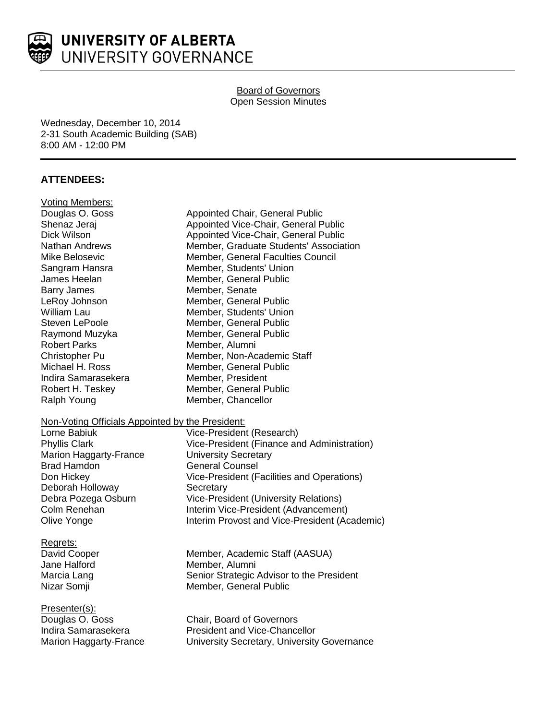

# Board of Governors Open Session Minutes

Wednesday, December 10, 2014 2-31 South Academic Building (SAB) 8:00 AM - 12:00 PM

# **ATTENDEES:**

| <b>Voting Members:</b>                           |                                               |
|--------------------------------------------------|-----------------------------------------------|
| Douglas O. Goss                                  | Appointed Chair, General Public               |
| Shenaz Jeraj                                     | Appointed Vice-Chair, General Public          |
| Dick Wilson                                      | Appointed Vice-Chair, General Public          |
| <b>Nathan Andrews</b>                            | Member, Graduate Students' Association        |
| Mike Belosevic                                   | Member, General Faculties Council             |
| Sangram Hansra                                   | Member, Students' Union                       |
| James Heelan                                     | Member, General Public                        |
| <b>Barry James</b>                               | Member, Senate                                |
| LeRoy Johnson                                    | Member, General Public                        |
| William Lau                                      | Member, Students' Union                       |
| Steven LePoole                                   | Member, General Public                        |
| Raymond Muzyka                                   | Member, General Public                        |
| <b>Robert Parks</b>                              | Member, Alumni                                |
| Christopher Pu                                   | Member, Non-Academic Staff                    |
| Michael H. Ross                                  | Member, General Public                        |
| Indira Samarasekera                              | Member, President                             |
| Robert H. Teskey                                 | Member, General Public                        |
| Ralph Young                                      | Member, Chancellor                            |
| Non-Voting Officials Appointed by the President: |                                               |
| Lorne Babiuk                                     | Vice-President (Research)                     |
| <b>Phyllis Clark</b>                             | Vice-President (Finance and Administration)   |
| Marion Haggarty-France                           | <b>University Secretary</b>                   |
| <b>Brad Hamdon</b>                               | <b>General Counsel</b>                        |
| Don Hickey                                       | Vice-President (Facilities and Operations)    |
| Deborah Holloway                                 | Secretary                                     |
| Debra Pozega Osburn                              | Vice-President (University Relations)         |
| Colm Renehan                                     | Interim Vice-President (Advancement)          |
| Olive Yonge                                      | Interim Provost and Vice-President (Academic) |
| Regrets:                                         |                                               |
| David Cooper                                     | Member, Academic Staff (AASUA)                |
| Jane Halford                                     | Member, Alumni                                |
| Marcia Lang                                      | Senior Strategic Advisor to the President     |
| Nizar Somji                                      | Member, General Public                        |
| Presenter(s):                                    |                                               |
| Douglas O. Goss                                  | Chair, Board of Governors                     |
| Indira Samarasekera                              | <b>President and Vice-Chancellor</b>          |
| <b>Marion Haggarty-France</b>                    | University Secretary, University Governance   |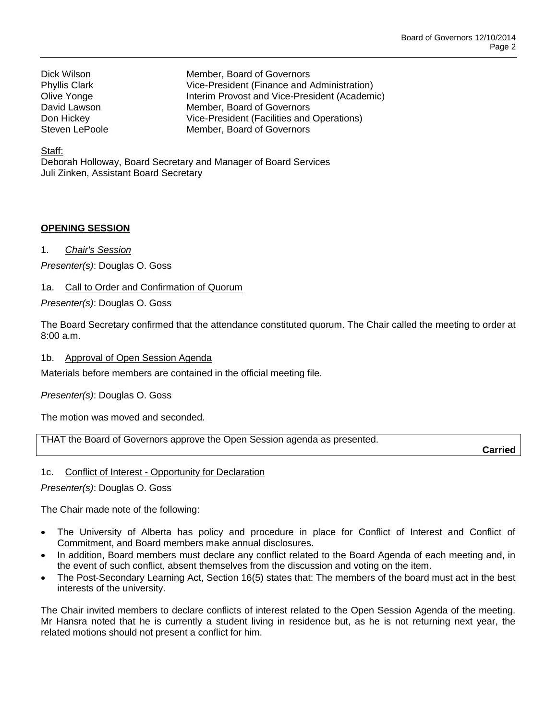Dick Wilson Member, Board of Governors Phyllis Clark Vice-President (Finance and Administration) Olive Yonge Interim Provost and Vice-President (Academic) David Lawson **Member**, Board of Governors Don Hickey **Vice-President (Facilities and Operations)**<br>
Steven LePoole **Member** Board of Governors Member, Board of Governors

### Staff:

Deborah Holloway, Board Secretary and Manager of Board Services Juli Zinken, Assistant Board Secretary

# **OPENING SESSION**

1. *Chair's Session*

*Presenter(s)*: Douglas O. Goss

# 1a. Call to Order and Confirmation of Quorum

*Presenter(s)*: Douglas O. Goss

The Board Secretary confirmed that the attendance constituted quorum. The Chair called the meeting to order at 8:00 a.m.

1b. Approval of Open Session Agenda

Materials before members are contained in the official meeting file.

*Presenter(s)*: Douglas O. Goss

The motion was moved and seconded.

THAT the Board of Governors approve the Open Session agenda as presented.

**Carried**

# 1c. Conflict of Interest - Opportunity for Declaration

*Presenter(s)*: Douglas O. Goss

The Chair made note of the following:

- The University of Alberta has policy and procedure in place for Conflict of Interest and Conflict of Commitment, and Board members make annual disclosures.
- In addition, Board members must declare any conflict related to the Board Agenda of each meeting and, in the event of such conflict, absent themselves from the discussion and voting on the item.
- The Post-Secondary Learning Act, Section 16(5) states that: The members of the board must act in the best interests of the university.

The Chair invited members to declare conflicts of interest related to the Open Session Agenda of the meeting. Mr Hansra noted that he is currently a student living in residence but, as he is not returning next year, the related motions should not present a conflict for him.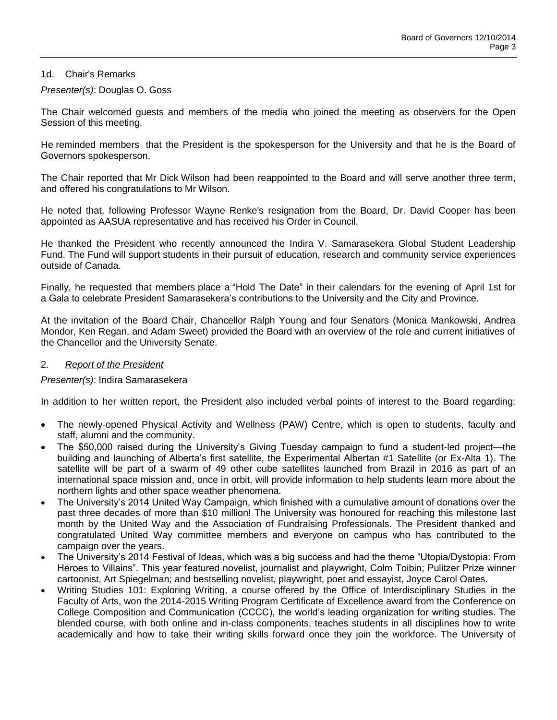# 1d. Chair's Remarks

### *Presenter(s)*: Douglas O. Goss

The Chair welcomed guests and members of the media who joined the meeting as observers for the Open Session of this meeting.

He reminded members that the President is the spokesperson for the University and that he is the Board of Governors spokesperson.

The Chair reported that Mr Dick Wilson had been reappointed to the Board and will serve another three term, and offered his congratulations to Mr Wilson.

He noted that, following Professor Wayne Renke's resignation from the Board, Dr. David Cooper has been appointed as AASUA representative and has received his Order in Council.

He thanked the President who recently announced the Indira V. Samarasekera Global Student Leadership Fund. The Fund will support students in their pursuit of education, research and community service experiences outside of Canada.

Finally, he requested that members place a "Hold The Date" in their calendars for the evening of April 1st for a Gala to celebrate President Samarasekera's contributions to the University and the City and Province.

At the invitation of the Board Chair, Chancellor Ralph Young and four Senators (Monica Mankowski, Andrea Mondor, Ken Regan, and Adam Sweet) provided the Board with an overview of the role and current initiatives of the Chancellor and the University Senate.

### 2. *Report of the President*

# *Presenter(s)*: Indira Samarasekera

In addition to her written report, the President also included verbal points of interest to the Board regarding:

- The newly-opened Physical Activity and Wellness (PAW) Centre, which is open to students, faculty and staff, alumni and the community.
- The \$50,000 raised during the University's Giving Tuesday campaign to fund a student-led project—the building and launching of Alberta's first satellite, the Experimental Albertan #1 Satellite (or Ex-Alta 1). The satellite will be part of a swarm of 49 other cube satellites launched from Brazil in 2016 as part of an international space mission and, once in orbit, will provide information to help students learn more about the northern lights and other space weather phenomena.
- The University's 2014 United Way Campaign, which finished with a cumulative amount of donations over the past three decades of more than \$10 million! The University was honoured for reaching this milestone last month by the United Way and the Association of Fundraising Professionals. The President thanked and congratulated United Way committee members and everyone on campus who has contributed to the campaign over the years.
- The University's 2014 Festival of Ideas, which was a big success and had the theme "Utopia/Dystopia: From Heroes to Villains". This year featured novelist, journalist and playwright, Colm Toibin; Pulitzer Prize winner cartoonist, Art Spiegelman; and bestselling novelist, playwright, poet and essayist, Joyce Carol Oates.
- Writing Studies 101: Exploring Writing, a course offered by the Office of Interdisciplinary Studies in the Faculty of Arts, won the 2014-2015 Writing Program Certificate of Excellence award from the Conference on College Composition and Communication (CCCC), the world's leading organization for writing studies. The blended course, with both online and in-class components, teaches students in all disciplines how to write academically and how to take their writing skills forward once they join the workforce. The University of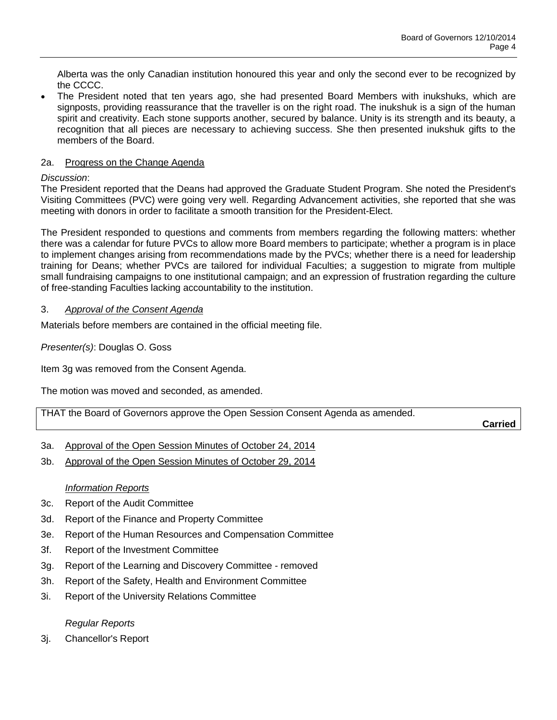Alberta was the only Canadian institution honoured this year and only the second ever to be recognized by the CCCC.

 The President noted that ten years ago, she had presented Board Members with inukshuks, which are signposts, providing reassurance that the traveller is on the right road. The inukshuk is a sign of the human spirit and creativity. Each stone supports another, secured by balance. Unity is its strength and its beauty, a recognition that all pieces are necessary to achieving success. She then presented inukshuk gifts to the members of the Board.

# 2a. Progress on the Change Agenda

# *Discussion*:

The President reported that the Deans had approved the Graduate Student Program. She noted the President's Visiting Committees (PVC) were going very well. Regarding Advancement activities, she reported that she was meeting with donors in order to facilitate a smooth transition for the President-Elect.

The President responded to questions and comments from members regarding the following matters: whether there was a calendar for future PVCs to allow more Board members to participate; whether a program is in place to implement changes arising from recommendations made by the PVCs; whether there is a need for leadership training for Deans; whether PVCs are tailored for individual Faculties; a suggestion to migrate from multiple small fundraising campaigns to one institutional campaign; and an expression of frustration regarding the culture of free-standing Faculties lacking accountability to the institution.

# 3. *Approval of the Consent Agenda*

Materials before members are contained in the official meeting file.

*Presenter(s)*: Douglas O. Goss

Item 3g was removed from the Consent Agenda.

The motion was moved and seconded, as amended.

THAT the Board of Governors approve the Open Session Consent Agenda as amended.

**Carried**

- 3a. Approval of the Open Session Minutes of October 24, 2014
- 3b. Approval of the Open Session Minutes of October 29, 2014

# *Information Reports*

- 3c. Report of the Audit Committee
- 3d. Report of the Finance and Property Committee
- 3e. Report of the Human Resources and Compensation Committee
- 3f. Report of the Investment Committee
- 3g. Report of the Learning and Discovery Committee removed
- 3h. Report of the Safety, Health and Environment Committee
- 3i. Report of the University Relations Committee

# *Regular Reports*

3j. Chancellor's Report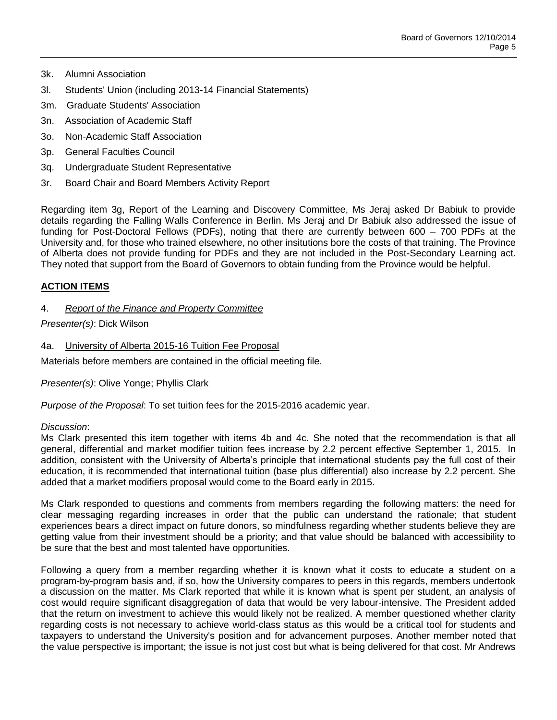- 3k. Alumni Association
- 3l. Students' Union (including 2013-14 Financial Statements)
- 3m. Graduate Students' Association
- 3n. Association of Academic Staff
- 3o. Non-Academic Staff Association
- 3p. General Faculties Council
- 3q. Undergraduate Student Representative
- 3r. Board Chair and Board Members Activity Report

Regarding item 3g, Report of the Learning and Discovery Committee, Ms Jeraj asked Dr Babiuk to provide details regarding the Falling Walls Conference in Berlin. Ms Jeraj and Dr Babiuk also addressed the issue of funding for Post-Doctoral Fellows (PDFs), noting that there are currently between 600 – 700 PDFs at the University and, for those who trained elsewhere, no other insitutions bore the costs of that training. The Province of Alberta does not provide funding for PDFs and they are not included in the Post-Secondary Learning act. They noted that support from the Board of Governors to obtain funding from the Province would be helpful.

#### **ACTION ITEMS**

4. *Report of the Finance and Property Committee*

#### *Presenter(s)*: Dick Wilson

#### 4a. University of Alberta 2015-16 Tuition Fee Proposal

Materials before members are contained in the official meeting file.

*Presenter(s)*: Olive Yonge; Phyllis Clark

*Purpose of the Proposal*: To set tuition fees for the 2015-2016 academic year.

#### *Discussion*:

Ms Clark presented this item together with items 4b and 4c. She noted that the recommendation is that all general, differential and market modifier tuition fees increase by 2.2 percent effective September 1, 2015. In addition, consistent with the University of Alberta's principle that international students pay the full cost of their education, it is recommended that international tuition (base plus differential) also increase by 2.2 percent. She added that a market modifiers proposal would come to the Board early in 2015.

Ms Clark responded to questions and comments from members regarding the following matters: the need for clear messaging regarding increases in order that the public can understand the rationale; that student experiences bears a direct impact on future donors, so mindfulness regarding whether students believe they are getting value from their investment should be a priority; and that value should be balanced with accessibility to be sure that the best and most talented have opportunities.

Following a query from a member regarding whether it is known what it costs to educate a student on a program-by-program basis and, if so, how the University compares to peers in this regards, members undertook a discussion on the matter. Ms Clark reported that while it is known what is spent per student, an analysis of cost would require significant disaggregation of data that would be very labour-intensive. The President added that the return on investment to achieve this would likely not be realized. A member questioned whether clarity regarding costs is not necessary to achieve world-class status as this would be a critical tool for students and taxpayers to understand the University's position and for advancement purposes. Another member noted that the value perspective is important; the issue is not just cost but what is being delivered for that cost. Mr Andrews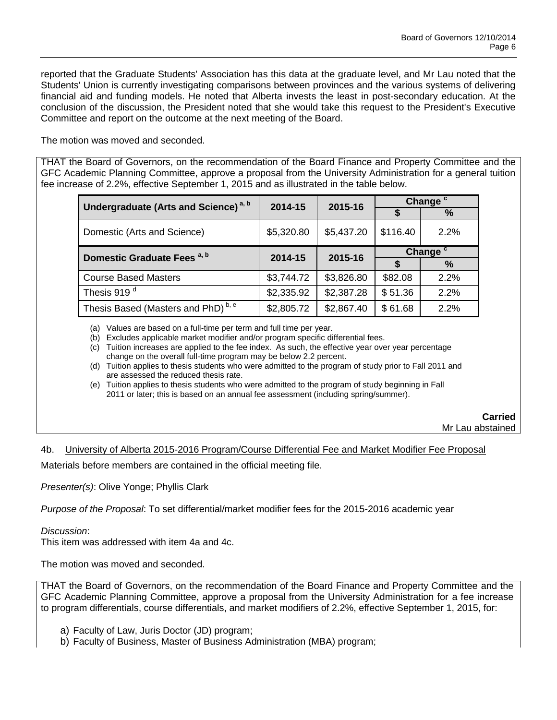reported that the Graduate Students' Association has this data at the graduate level, and Mr Lau noted that the Students' Union is currently investigating comparisons between provinces and the various systems of delivering financial aid and funding models. He noted that Alberta invests the least in post-secondary education. At the conclusion of the discussion, the President noted that she would take this request to the President's Executive Committee and report on the outcome at the next meeting of the Board.

The motion was moved and seconded.

THAT the Board of Governors, on the recommendation of the Board Finance and Property Committee and the GFC Academic Planning Committee, approve a proposal from the University Administration for a general tuition fee increase of 2.2%, effective September 1, 2015 and as illustrated in the table below.

| Undergraduate (Arts and Science) <sup>a, b</sup> | 2014-15    | 2015-16    | Change <sup>c</sup> |      |
|--------------------------------------------------|------------|------------|---------------------|------|
|                                                  |            |            | S                   | $\%$ |
| Domestic (Arts and Science)                      | \$5,320.80 | \$5,437.20 | \$116.40            | 2.2% |
| Domestic Graduate Fees <sup>a, b</sup>           | 2014-15    | 2015-16    | Change <sup>c</sup> |      |
|                                                  |            |            |                     | $\%$ |
| <b>Course Based Masters</b>                      | \$3,744.72 | \$3,826.80 | \$82.08             | 2.2% |
| Thesis 919 <sup>d</sup>                          | \$2,335.92 | \$2,387.28 | \$51.36             | 2.2% |
| Thesis Based (Masters and PhD) <sup>b, e</sup>   | \$2,805.72 | \$2,867.40 | \$61.68             | 2.2% |

(a) Values are based on a full-time per term and full time per year.

(b) Excludes applicable market modifier and/or program specific differential fees.

(c) Tuition increases are applied to the fee index. As such, the effective year over year percentage change on the overall full-time program may be below 2.2 percent.

(d) Tuition applies to thesis students who were admitted to the program of study prior to Fall 2011 and are assessed the reduced thesis rate.

(e) Tuition applies to thesis students who were admitted to the program of study beginning in Fall 2011 or later; this is based on an annual fee assessment (including spring/summer).

> **Carried**  Mr Lau abstained

# 4b. University of Alberta 2015-2016 Program/Course Differential Fee and Market Modifier Fee Proposal

Materials before members are contained in the official meeting file.

*Presenter(s)*: Olive Yonge; Phyllis Clark

*Purpose of the Proposal*: To set differential/market modifier fees for the 2015-2016 academic year

*Discussion*:

This item was addressed with item 4a and 4c.

The motion was moved and seconded.

THAT the Board of Governors, on the recommendation of the Board Finance and Property Committee and the GFC Academic Planning Committee, approve a proposal from the University Administration for a fee increase to program differentials, course differentials, and market modifiers of 2.2%, effective September 1, 2015, for:

a) Faculty of Law, Juris Doctor (JD) program;

b) Faculty of Business, Master of Business Administration (MBA) program;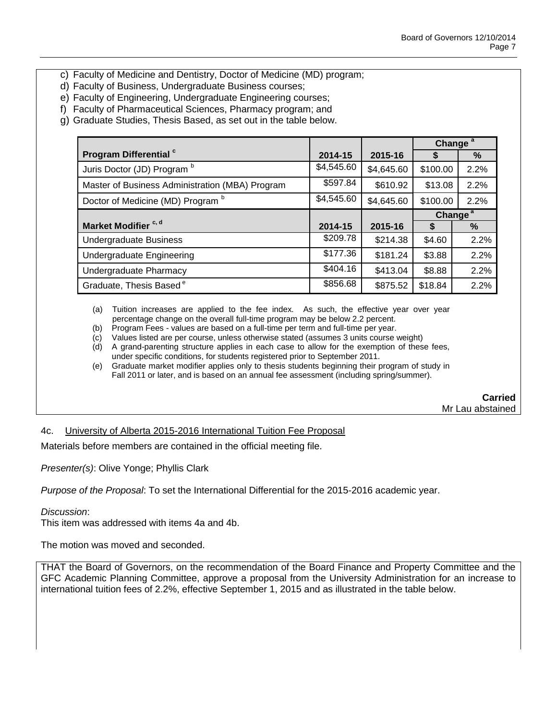- c) Faculty of Medicine and Dentistry, Doctor of Medicine (MD) program;
- d) Faculty of Business, Undergraduate Business courses;
- e) Faculty of Engineering, Undergraduate Engineering courses;
- f) Faculty of Pharmaceutical Sciences, Pharmacy program; and
- g) Graduate Studies, Thesis Based, as set out in the table below.

|                                                 |            |            | Change <sup>a</sup> |      |
|-------------------------------------------------|------------|------------|---------------------|------|
| Program Differential <sup>c</sup>               | 2014-15    | 2015-16    | S                   | %    |
| Juris Doctor (JD) Program b                     | \$4,545.60 | \$4,645.60 | \$100.00            | 2.2% |
| Master of Business Administration (MBA) Program | \$597.84   | \$610.92   | \$13.08             | 2.2% |
| Doctor of Medicine (MD) Program b               | \$4,545.60 | \$4,645.60 | \$100.00            | 2.2% |
|                                                 |            |            | Change <sup>a</sup> |      |
| Market Modifier <sup>c, d</sup>                 | 2014-15    | 2015-16    | S                   | $\%$ |
| <b>Undergraduate Business</b>                   | \$209.78   | \$214.38   | \$4.60              | 2.2% |
| Undergraduate Engineering                       | \$177.36   | \$181.24   | \$3.88              | 2.2% |
| Undergraduate Pharmacy                          | \$404.16   | \$413.04   | \$8.88              | 2.2% |
| Graduate, Thesis Based <sup>e</sup>             | \$856.68   | \$875.52   | \$18.84             | 2.2% |

(a) Tuition increases are applied to the fee index. As such, the effective year over year percentage change on the overall full-time program may be below 2.2 percent.

- (b) Program Fees values are based on a full-time per term and full-time per year.
- (c) Values listed are per course, unless otherwise stated (assumes 3 units course weight)
- (d) A grand-parenting structure applies in each case to allow for the exemption of these fees, under specific conditions, for students registered prior to September 2011.
- (e) Graduate market modifier applies only to thesis students beginning their program of study in Fall 2011 or later, and is based on an annual fee assessment (including spring/summer).

**Carried**  Mr Lau abstained

### 4c. University of Alberta 2015-2016 International Tuition Fee Proposal

Materials before members are contained in the official meeting file.

*Presenter(s)*: Olive Yonge; Phyllis Clark

*Purpose of the Proposal*: To set the International Differential for the 2015-2016 academic year.

#### *Discussion*:

This item was addressed with items 4a and 4b.

The motion was moved and seconded.

THAT the Board of Governors, on the recommendation of the Board Finance and Property Committee and the GFC Academic Planning Committee, approve a proposal from the University Administration for an increase to international tuition fees of 2.2%, effective September 1, 2015 and as illustrated in the table below.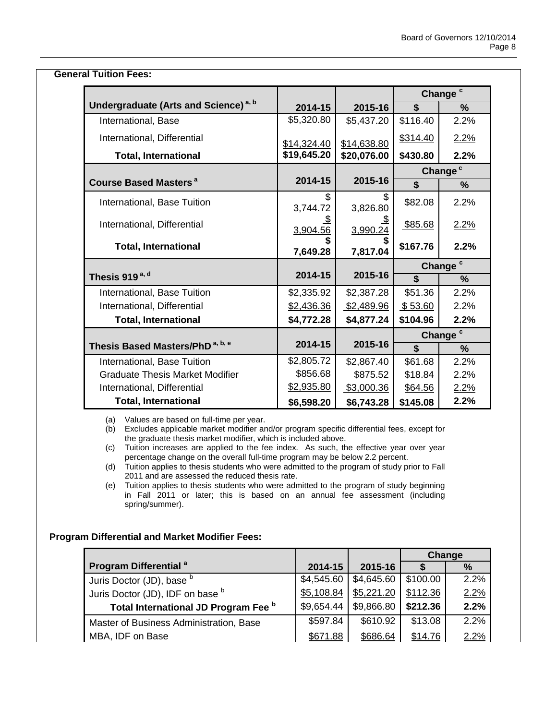| <b>General Tuition Fees:</b>                     |                       |                       |                         |                     |  |
|--------------------------------------------------|-----------------------|-----------------------|-------------------------|---------------------|--|
|                                                  |                       |                       | Change <sup>c</sup>     |                     |  |
| Undergraduate (Arts and Science) <sup>a, b</sup> | 2014-15               | 2015-16               | \$                      | $\%$                |  |
| International, Base                              | \$5,320.80            | \$5,437.20            | \$116.40                | 2.2%                |  |
| International, Differential                      | \$14,324.40           | \$14,638.80           | \$314.40                | 2.2%                |  |
| <b>Total, International</b>                      | \$19,645.20           | \$20,076.00           | \$430.80                | 2.2%                |  |
|                                                  |                       |                       |                         | Change <sup>c</sup> |  |
| <b>Course Based Masters<sup>a</sup></b>          | 2014-15               | 2015-16               | \$                      | $\frac{0}{0}$       |  |
| International, Base Tuition                      | \$<br>3,744.72        | \$<br>3,826.80        | \$82.08                 | 2.2%                |  |
| International, Differential                      | <u>\$</u><br>3,904.56 | $\frac{\$}{3,990.24}$ | \$85.68                 | 2.2%                |  |
| <b>Total, International</b>                      | 7,649.28              | 7,817.04              | \$167.76                | 2.2%                |  |
|                                                  |                       |                       | Change <sup>c</sup>     |                     |  |
| Thesis 919 <sup>a, d</sup>                       | 2014-15               | 2015-16               | \$                      | $\frac{0}{0}$       |  |
| International, Base Tuition                      | \$2,335.92            | \$2,387.28            | \$51.36                 | 2.2%                |  |
| International, Differential                      | \$2,436.36            | \$2,489.96            | \$53.60                 | 2.2%                |  |
| <b>Total, International</b>                      | \$4,772.28            | \$4,877.24            | \$104.96                | 2.2%                |  |
|                                                  |                       |                       | Change <sup>c</sup>     |                     |  |
| Thesis Based Masters/PhD <sup>a, b, e</sup>      | 2014-15               | 2015-16               | $\overline{\mathbf{s}}$ | $\%$                |  |
| International, Base Tuition                      | \$2,805.72            | \$2,867.40            | \$61.68                 | 2.2%                |  |
| <b>Graduate Thesis Market Modifier</b>           | \$856.68              | \$875.52              | \$18.84                 | 2.2%                |  |
| International, Differential                      | \$2,935.80            | \$3,000.36            | \$64.56                 | 2.2%                |  |
| <b>Total, International</b>                      | \$6,598.20            | \$6,743.28            | \$145.08                | 2.2%                |  |

(a) Values are based on full-time per year.

(b) Excludes applicable market modifier and/or program specific differential fees, except for the graduate thesis market modifier, which is included above.

(c) Tuition increases are applied to the fee index. As such, the effective year over year percentage change on the overall full-time program may be below 2.2 percent.

(d) Tuition applies to thesis students who were admitted to the program of study prior to Fall 2011 and are assessed the reduced thesis rate.

(e) Tuition applies to thesis students who were admitted to the program of study beginning in Fall 2011 or later; this is based on an annual fee assessment (including spring/summer).

# **Program Differential and Market Modifier Fees:**

|                                         |            |            | Change   |      |
|-----------------------------------------|------------|------------|----------|------|
| Program Differential <sup>a</sup>       | 2014-15    | 2015-16    |          | $\%$ |
| Juris Doctor (JD), base b               | \$4,545.60 | \$4,645.60 | \$100.00 | 2.2% |
| Juris Doctor (JD), IDF on base b        | \$5,108.84 | \$5,221.20 | \$112.36 | 2.2% |
| Total International JD Program Fee b    | \$9,654.44 | \$9,866.80 | \$212.36 | 2.2% |
| Master of Business Administration, Base | \$597.84   | \$610.92   | \$13.08  | 2.2% |
| MBA, IDF on Base                        | \$671.88   | \$686.64   | \$14.76  | 2.2% |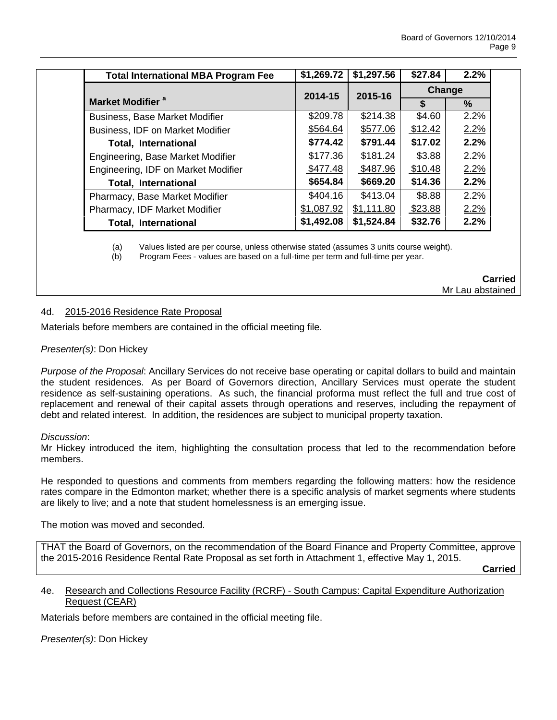| <b>Total International MBA Program Fee</b> | \$1,269.72         | \$1,297.56 | \$27.84 | 2.2% |  |
|--------------------------------------------|--------------------|------------|---------|------|--|
|                                            | 2014-15<br>2015-16 |            | Change  |      |  |
| Market Modifier <sup>a</sup>               |                    |            |         | $\%$ |  |
| <b>Business, Base Market Modifier</b>      | \$209.78           | \$214.38   | \$4.60  | 2.2% |  |
| Business, IDF on Market Modifier           | \$564.64           | \$577.06   | \$12.42 | 2.2% |  |
| <b>Total, International</b>                | \$774.42           | \$791.44   | \$17.02 | 2.2% |  |
| Engineering, Base Market Modifier          | \$177.36           | \$181.24   | \$3.88  | 2.2% |  |
| Engineering, IDF on Market Modifier        | \$477.48           | \$487.96   | \$10.48 | 2.2% |  |
| <b>Total, International</b>                | \$654.84           | \$669.20   | \$14.36 | 2.2% |  |
| Pharmacy, Base Market Modifier             | \$404.16           | \$413.04   | \$8.88  | 2.2% |  |
| Pharmacy, IDF Market Modifier              | \$1,087.92         | \$1,111.80 | \$23.88 | 2.2% |  |
| <b>Total, International</b>                | \$1,492.08         | \$1,524.84 | \$32.76 | 2.2% |  |

(a) Values listed are per course, unless otherwise stated (assumes 3 units course weight).

(b) Program Fees - values are based on a full-time per term and full-time per year.

### **Carried** Mr Lau abstained

# 4d. 2015-2016 Residence Rate Proposal

Materials before members are contained in the official meeting file.

# *Presenter(s)*: Don Hickey

*Purpose of the Proposal*: Ancillary Services do not receive base operating or capital dollars to build and maintain the student residences. As per Board of Governors direction, Ancillary Services must operate the student residence as self-sustaining operations. As such, the financial proforma must reflect the full and true cost of replacement and renewal of their capital assets through operations and reserves, including the repayment of debt and related interest. In addition, the residences are subject to municipal property taxation.

#### *Discussion*:

Mr Hickey introduced the item, highlighting the consultation process that led to the recommendation before members.

He responded to questions and comments from members regarding the following matters: how the residence rates compare in the Edmonton market; whether there is a specific analysis of market segments where students are likely to live; and a note that student homelessness is an emerging issue.

The motion was moved and seconded.

THAT the Board of Governors, on the recommendation of the Board Finance and Property Committee, approve the 2015-2016 Residence Rental Rate Proposal as set forth in Attachment 1, effective May 1, 2015.

**Carried**

# 4e. Research and Collections Resource Facility (RCRF) - South Campus: Capital Expenditure Authorization Request (CEAR)

Materials before members are contained in the official meeting file.

*Presenter(s)*: Don Hickey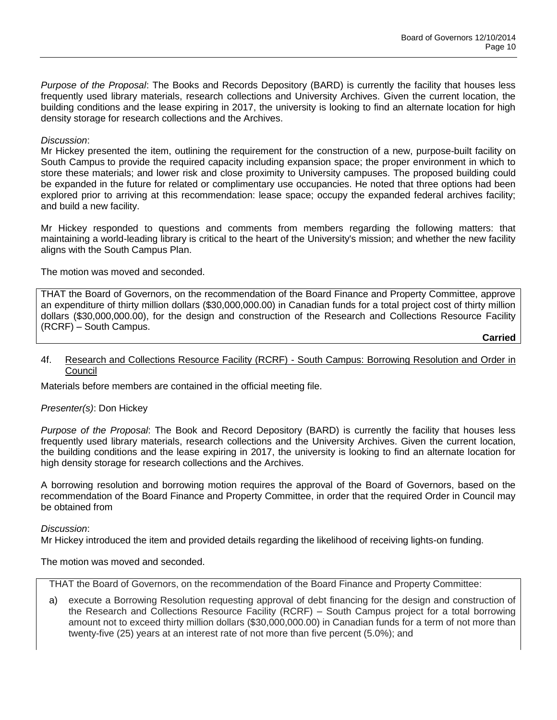*Purpose of the Proposal*: The Books and Records Depository (BARD) is currently the facility that houses less frequently used library materials, research collections and University Archives. Given the current location, the building conditions and the lease expiring in 2017, the university is looking to find an alternate location for high density storage for research collections and the Archives.

# *Discussion*:

Mr Hickey presented the item, outlining the requirement for the construction of a new, purpose-built facility on South Campus to provide the required capacity including expansion space; the proper environment in which to store these materials; and lower risk and close proximity to University campuses. The proposed building could be expanded in the future for related or complimentary use occupancies. He noted that three options had been explored prior to arriving at this recommendation: lease space; occupy the expanded federal archives facility; and build a new facility.

Mr Hickey responded to questions and comments from members regarding the following matters: that maintaining a world-leading library is critical to the heart of the University's mission; and whether the new facility aligns with the South Campus Plan.

The motion was moved and seconded.

THAT the Board of Governors, on the recommendation of the Board Finance and Property Committee, approve an expenditure of thirty million dollars (\$30,000,000.00) in Canadian funds for a total project cost of thirty million dollars (\$30,000,000.00), for the design and construction of the Research and Collections Resource Facility (RCRF) – South Campus.

**Carried**

#### 4f. Research and Collections Resource Facility (RCRF) - South Campus: Borrowing Resolution and Order in Council

Materials before members are contained in the official meeting file.

# *Presenter(s)*: Don Hickey

*Purpose of the Proposal*: The Book and Record Depository (BARD) is currently the facility that houses less frequently used library materials, research collections and the University Archives. Given the current location, the building conditions and the lease expiring in 2017, the university is looking to find an alternate location for high density storage for research collections and the Archives.

A borrowing resolution and borrowing motion requires the approval of the Board of Governors, based on the recommendation of the Board Finance and Property Committee, in order that the required Order in Council may be obtained from

# *Discussion*:

Mr Hickey introduced the item and provided details regarding the likelihood of receiving lights-on funding.

The motion was moved and seconded.

THAT the Board of Governors, on the recommendation of the Board Finance and Property Committee:

a) execute a Borrowing Resolution requesting approval of debt financing for the design and construction of the Research and Collections Resource Facility (RCRF) – South Campus project for a total borrowing amount not to exceed thirty million dollars (\$30,000,000.00) in Canadian funds for a term of not more than twenty-five (25) years at an interest rate of not more than five percent (5.0%); and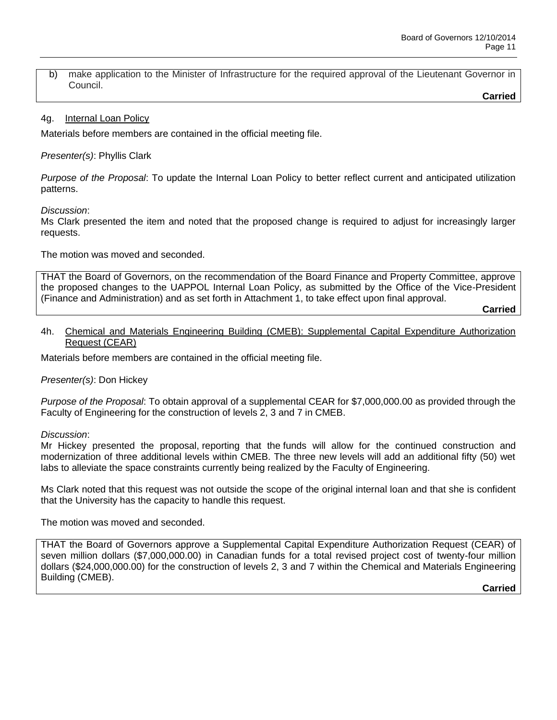b) make application to the Minister of Infrastructure for the required approval of the Lieutenant Governor in Council.

**Carried**

# 4g. Internal Loan Policy

Materials before members are contained in the official meeting file.

*Presenter(s)*: Phyllis Clark

*Purpose of the Proposal*: To update the Internal Loan Policy to better reflect current and anticipated utilization patterns.

*Discussion*:

Ms Clark presented the item and noted that the proposed change is required to adjust for increasingly larger requests.

The motion was moved and seconded.

THAT the Board of Governors, on the recommendation of the Board Finance and Property Committee, approve the proposed changes to the UAPPOL Internal Loan Policy, as submitted by the Office of the Vice-President (Finance and Administration) and as set forth in Attachment 1, to take effect upon final approval.

**Carried**

#### 4h. Chemical and Materials Engineering Building (CMEB): Supplemental Capital Expenditure Authorization Request (CEAR)

Materials before members are contained in the official meeting file.

*Presenter(s)*: Don Hickey

*Purpose of the Proposal*: To obtain approval of a supplemental CEAR for \$7,000,000.00 as provided through the Faculty of Engineering for the construction of levels 2, 3 and 7 in CMEB.

*Discussion*:

Mr Hickey presented the proposal, reporting that the funds will allow for the continued construction and modernization of three additional levels within CMEB. The three new levels will add an additional fifty (50) wet labs to alleviate the space constraints currently being realized by the Faculty of Engineering.

Ms Clark noted that this request was not outside the scope of the original internal loan and that she is confident that the University has the capacity to handle this request.

The motion was moved and seconded.

THAT the Board of Governors approve a Supplemental Capital Expenditure Authorization Request (CEAR) of seven million dollars (\$7,000,000.00) in Canadian funds for a total revised project cost of twenty-four million dollars (\$24,000,000.00) for the construction of levels 2, 3 and 7 within the Chemical and Materials Engineering Building (CMEB).

**Carried**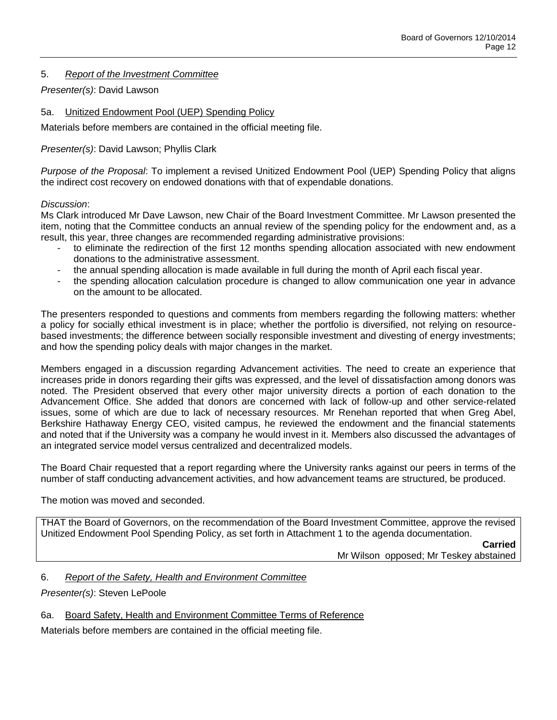# 5. *Report of the Investment Committee*

# *Presenter(s)*: David Lawson

# 5a. Unitized Endowment Pool (UEP) Spending Policy

Materials before members are contained in the official meeting file.

# *Presenter(s)*: David Lawson; Phyllis Clark

*Purpose of the Proposal*: To implement a revised Unitized Endowment Pool (UEP) Spending Policy that aligns the indirect cost recovery on endowed donations with that of expendable donations.

# *Discussion*:

Ms Clark introduced Mr Dave Lawson, new Chair of the Board Investment Committee. Mr Lawson presented the item, noting that the Committee conducts an annual review of the spending policy for the endowment and, as a result, this year, three changes are recommended regarding administrative provisions:

- to eliminate the redirection of the first 12 months spending allocation associated with new endowment donations to the administrative assessment.
- the annual spending allocation is made available in full during the month of April each fiscal year.
- the spending allocation calculation procedure is changed to allow communication one year in advance on the amount to be allocated.

The presenters responded to questions and comments from members regarding the following matters: whether a policy for socially ethical investment is in place; whether the portfolio is diversified, not relying on resourcebased investments; the difference between socially responsible investment and divesting of energy investments; and how the spending policy deals with major changes in the market.

Members engaged in a discussion regarding Advancement activities. The need to create an experience that increases pride in donors regarding their gifts was expressed, and the level of dissatisfaction among donors was noted. The President observed that every other major university directs a portion of each donation to the Advancement Office. She added that donors are concerned with lack of follow-up and other service-related issues, some of which are due to lack of necessary resources. Mr Renehan reported that when Greg Abel, Berkshire Hathaway Energy CEO, visited campus, he reviewed the endowment and the financial statements and noted that if the University was a company he would invest in it. Members also discussed the advantages of an integrated service model versus centralized and decentralized models.

The Board Chair requested that a report regarding where the University ranks against our peers in terms of the number of staff conducting advancement activities, and how advancement teams are structured, be produced.

The motion was moved and seconded.

THAT the Board of Governors, on the recommendation of the Board Investment Committee, approve the revised Unitized Endowment Pool Spending Policy, as set forth in Attachment 1 to the agenda documentation.

> **Carried** Mr Wilson opposed; Mr Teskey abstained

6. *Report of the Safety, Health and Environment Committee*

*Presenter(s)*: Steven LePoole

6a. Board Safety, Health and Environment Committee Terms of Reference

Materials before members are contained in the official meeting file.